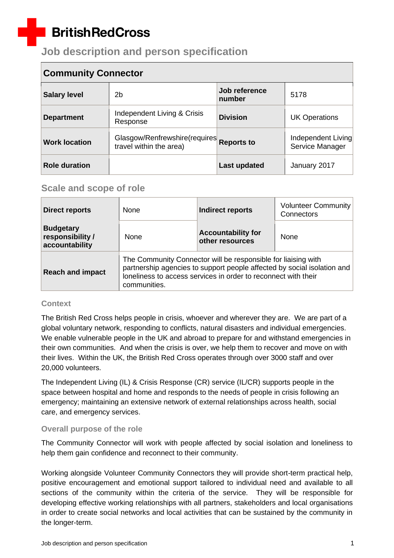# **BritishRedCross**

## **Job description and person specification**

| <b>Community Connector</b> |                                                          |                         |                                       |
|----------------------------|----------------------------------------------------------|-------------------------|---------------------------------------|
| <b>Salary level</b>        | 2b                                                       | Job reference<br>number | 5178                                  |
| <b>Department</b>          | Independent Living & Crisis<br>Response                  | <b>Division</b>         | <b>UK Operations</b>                  |
| <b>Work location</b>       | Glasgow/Renfrewshire(requires<br>travel within the area) | <b>Reports to</b>       | Independent Living<br>Service Manager |
| <b>Role duration</b>       |                                                          | Last updated            | January 2017                          |

### **Scale and scope of role**

| <b>Direct reports</b>                                  | None         | <b>Indirect reports</b>                                                                                                                                                                                    | <b>Volunteer Community</b><br>Connectors |
|--------------------------------------------------------|--------------|------------------------------------------------------------------------------------------------------------------------------------------------------------------------------------------------------------|------------------------------------------|
| <b>Budgetary</b><br>responsibility /<br>accountability | <b>None</b>  | <b>Accountability for</b><br>other resources                                                                                                                                                               | <b>None</b>                              |
| <b>Reach and impact</b>                                | communities. | The Community Connector will be responsible for liaising with<br>partnership agencies to support people affected by social isolation and<br>loneliness to access services in order to reconnect with their |                                          |

#### **Context**

The British Red Cross helps people in crisis, whoever and wherever they are. We are part of a global voluntary network, responding to conflicts, natural disasters and individual emergencies. We enable vulnerable people in the UK and abroad to prepare for and withstand emergencies in their own communities. And when the crisis is over, we help them to recover and move on with their lives. Within the UK, the British Red Cross operates through over 3000 staff and over 20,000 volunteers.

The Independent Living (IL) & Crisis Response (CR) service (IL/CR) supports people in the space between hospital and home and responds to the needs of people in crisis following an emergency; maintaining an extensive network of external relationships across health, social care, and emergency services.

#### **Overall purpose of the role**

The Community Connector will work with people affected by social isolation and loneliness to help them gain confidence and reconnect to their community.

Working alongside Volunteer Community Connectors they will provide short-term practical help, positive encouragement and emotional support tailored to individual need and available to all sections of the community within the criteria of the service. They will be responsible for developing effective working relationships with all partners, stakeholders and local organisations in order to create social networks and local activities that can be sustained by the community in the longer-term.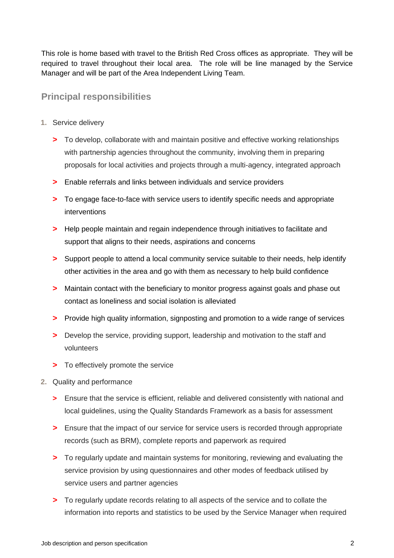This role is home based with travel to the British Red Cross offices as appropriate. They will be required to travel throughout their local area. The role will be line managed by the Service Manager and will be part of the Area Independent Living Team.

### **Principal responsibilities**

- **1.** Service delivery
	- **>** To develop, collaborate with and maintain positive and effective working relationships with partnership agencies throughout the community, involving them in preparing proposals for local activities and projects through a multi-agency, integrated approach
	- **>** Enable referrals and links between individuals and service providers
	- **>** To engage face-to-face with service users to identify specific needs and appropriate interventions
	- **>** Help people maintain and regain independence through initiatives to facilitate and support that aligns to their needs, aspirations and concerns
	- **>** Support people to attend a local community service suitable to their needs, help identify other activities in the area and go with them as necessary to help build confidence
	- **>** Maintain contact with the beneficiary to monitor progress against goals and phase out contact as loneliness and social isolation is alleviated
	- **>** Provide high quality information, signposting and promotion to a wide range of services
	- **>** Develop the service, providing support, leadership and motivation to the staff and volunteers
	- **>** To effectively promote the service
- **2.** Quality and performance
	- **>** Ensure that the service is efficient, reliable and delivered consistently with national and local guidelines, using the Quality Standards Framework as a basis for assessment
	- **>** Ensure that the impact of our service for service users is recorded through appropriate records (such as BRM), complete reports and paperwork as required
	- **>** To regularly update and maintain systems for monitoring, reviewing and evaluating the service provision by using questionnaires and other modes of feedback utilised by service users and partner agencies
	- **>** To regularly update records relating to all aspects of the service and to collate the information into reports and statistics to be used by the Service Manager when required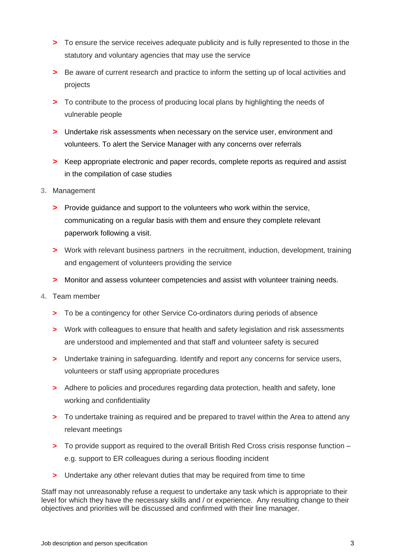- **>** To ensure the service receives adequate publicity and is fully represented to those in the statutory and voluntary agencies that may use the service
- **>** Be aware of current research and practice to inform the setting up of local activities and projects
- **>** To contribute to the process of producing local plans by highlighting the needs of vulnerable people
- **>** Undertake risk assessments when necessary on the service user, environment and volunteers. To alert the Service Manager with any concerns over referrals
- **>** Keep appropriate electronic and paper records, complete reports as required and assist in the compilation of case studies
- **3.** Management
	- **>** Provide guidance and support to the volunteers who work within the service, communicating on a regular basis with them and ensure they complete relevant paperwork following a visit.
	- **>** Work with relevant business partners in the recruitment, induction, development, training and engagement of volunteers providing the service
	- **>** Monitor and assess volunteer competencies and assist with volunteer training needs.
- **4.** Team member
	- **>** To be a contingency for other Service Co-ordinators during periods of absence
	- **>** Work with colleagues to ensure that health and safety legislation and risk assessments are understood and implemented and that staff and volunteer safety is secured
	- **>** Undertake training in safeguarding. Identify and report any concerns for service users, volunteers or staff using appropriate procedures
	- **>** Adhere to policies and procedures regarding data protection, health and safety, lone working and confidentiality
	- **>** To undertake training as required and be prepared to travel within the Area to attend any relevant meetings
	- **>** To provide support as required to the overall British Red Cross crisis response function e.g. support to ER colleagues during a serious flooding incident
	- **>** Undertake any other relevant duties that may be required from time to time

Staff may not unreasonably refuse a request to undertake any task which is appropriate to their level for which they have the necessary skills and / or experience. Any resulting change to their objectives and priorities will be discussed and confirmed with their line manager.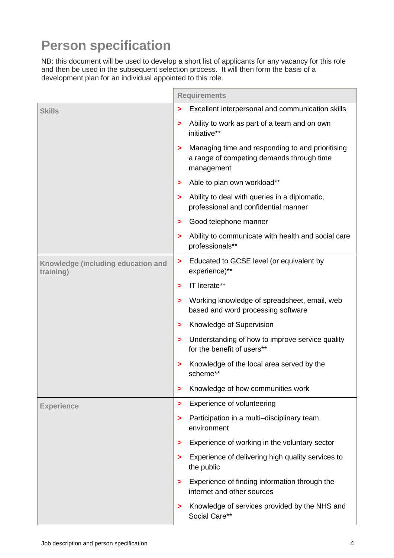# **Person specification**

NB: this document will be used to develop a short list of applicants for any vacancy for this role and then be used in the subsequent selection process. It will then form the basis of a development plan for an individual appointed to this role.

|                                                 |   | <b>Requirements</b>                                                                                         |
|-------------------------------------------------|---|-------------------------------------------------------------------------------------------------------------|
| <b>Skills</b>                                   | > | Excellent interpersonal and communication skills                                                            |
|                                                 | > | Ability to work as part of a team and on own<br>initiative**                                                |
|                                                 | > | Managing time and responding to and prioritising<br>a range of competing demands through time<br>management |
|                                                 | > | Able to plan own workload**                                                                                 |
|                                                 | > | Ability to deal with queries in a diplomatic,<br>professional and confidential manner                       |
|                                                 | > | Good telephone manner                                                                                       |
|                                                 | > | Ability to communicate with health and social care<br>professionals**                                       |
| Knowledge (including education and<br>training) | > | Educated to GCSE level (or equivalent by<br>experience)**                                                   |
|                                                 | > | IT literate**                                                                                               |
|                                                 | > | Working knowledge of spreadsheet, email, web<br>based and word processing software                          |
|                                                 | > | Knowledge of Supervision                                                                                    |
|                                                 | > | Understanding of how to improve service quality<br>for the benefit of users**                               |
|                                                 | > | Knowledge of the local area served by the<br>scheme**                                                       |
|                                                 | > | Knowledge of how communities work                                                                           |
| <b>Experience</b>                               | > | Experience of volunteering                                                                                  |
|                                                 | > | Participation in a multi-disciplinary team<br>environment                                                   |
|                                                 | > | Experience of working in the voluntary sector                                                               |
|                                                 | ⋗ | Experience of delivering high quality services to<br>the public                                             |
|                                                 | > | Experience of finding information through the<br>internet and other sources                                 |
|                                                 | ⋗ | Knowledge of services provided by the NHS and<br>Social Care**                                              |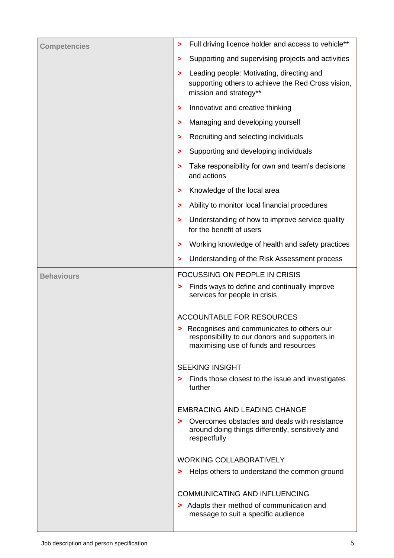| <b>Competencies</b> | Full driving licence holder and access to vehicle**<br>>                                                                               |
|---------------------|----------------------------------------------------------------------------------------------------------------------------------------|
|                     | Supporting and supervising projects and activities<br>>                                                                                |
|                     | Leading people: Motivating, directing and<br>><br>supporting others to achieve the Red Cross vision,<br>mission and strategy**         |
|                     | Innovative and creative thinking<br>>                                                                                                  |
|                     | Managing and developing yourself<br>>                                                                                                  |
|                     | Recruiting and selecting individuals<br>>                                                                                              |
|                     | Supporting and developing individuals<br>>                                                                                             |
|                     | Take responsibility for own and team's decisions<br>><br>and actions                                                                   |
|                     | Knowledge of the local area<br>>                                                                                                       |
|                     | Ability to monitor local financial procedures<br>>                                                                                     |
|                     | Understanding of how to improve service quality<br>><br>for the benefit of users                                                       |
|                     | Working knowledge of health and safety practices<br>>                                                                                  |
|                     | Understanding of the Risk Assessment process<br>>                                                                                      |
| <b>Behaviours</b>   | <b>FOCUSSING ON PEOPLE IN CRISIS</b>                                                                                                   |
|                     | Finds ways to define and continually improve<br>><br>services for people in crisis                                                     |
|                     | <b>ACCOUNTABLE FOR RESOURCES</b>                                                                                                       |
|                     | > Recognises and communicates to others our<br>responsibility to our donors and supporters in<br>maximising use of funds and resources |
|                     | <b>SEEKING INSIGHT</b>                                                                                                                 |
|                     | Finds those closest to the issue and investigates<br>><br>further                                                                      |
|                     | <b>EMBRACING AND LEADING CHANGE</b>                                                                                                    |
|                     | Overcomes obstacles and deals with resistance<br>⋗<br>around doing things differently, sensitively and<br>respectfully                 |
|                     | <b>WORKING COLLABORATIVELY</b>                                                                                                         |
|                     | Helps others to understand the common ground<br>>                                                                                      |
|                     | <b>COMMUNICATING AND INFLUENCING</b>                                                                                                   |
|                     | > Adapts their method of communication and<br>message to suit a specific audience                                                      |